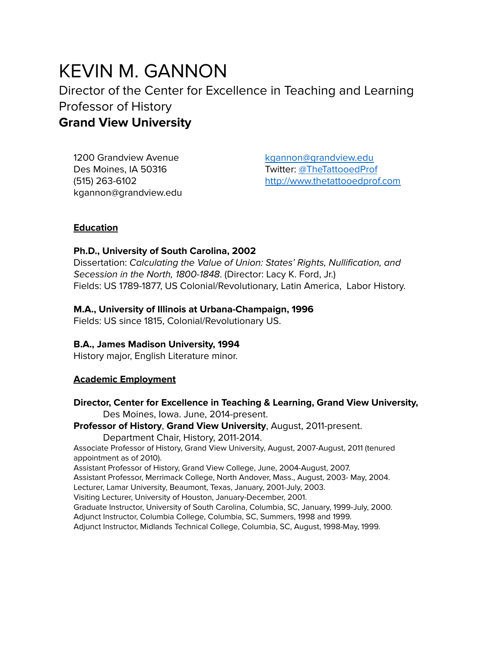# KEVIN M. GANNON Director of the Center for Excellence in Teaching and Learning Professor of History **Grand View University**

1200 Grandview Avenue Des Moines, IA 50316 (515) 263-6102 kgannon@grandview.edu [kgannon@grandview.edu](mailto:kgannon@grandview.edu) Twitter: [@TheTattooedProf](https://twitter.com/TheTattooedProf) <http://www.thetattooedprof.com>

#### **Education**

#### **Ph.D., University of South Carolina, 2002**

Dissertation: Calculating the Value of Union: States' Rights, Nullification, and Secession in the North, 1800-1848. (Director: Lacy K. Ford, Jr.) Fields: US 1789-1877, US Colonial/Revolutionary, Latin America, Labor History.

#### **M.A., University of Illinois at Urbana-Champaign, 1996**

Fields: US since 1815, Colonial/Revolutionary US.

## **B.A., James Madison University, 1994**

History major, English Literature minor.

## **Academic Employment**

#### **Director, Center for Excellence in Teaching & Learning, Grand View University,** Des Moines, Iowa. June, 2014-present.

#### **Professor of History**, **Grand View University**, August, 2011-present.

Department Chair, History, 2011-2014.

Associate Professor of History, Grand View University, August, 2007-August, 2011 (tenured appointment as of 2010).

Assistant Professor of History, Grand View College, June, 2004-August, 2007.

Assistant Professor, Merrimack College, North Andover, Mass., August, 2003- May, 2004.

Lecturer, Lamar University, Beaumont, Texas, January, 2001-July, 2003.

Visiting Lecturer, University of Houston, January-December, 2001.

Graduate Instructor, University of South Carolina, Columbia, SC, January, 1999-July, 2000.

Adjunct Instructor, Columbia College, Columbia, SC, Summers, 1998 and 1999.

Adjunct Instructor, Midlands Technical College, Columbia, SC, August, 1998-May, 1999.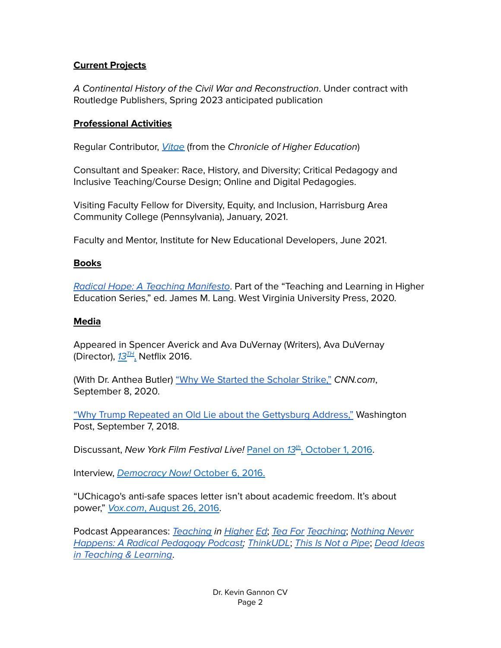# **Current Projects**

A Continental History of the Civil War and Reconstruction. Under contract with Routledge Publishers, Spring 2023 anticipated publication

## **Professional Activities**

Regular Contributor, [Vitae](https://chroniclevitae.com/people/124316-kevin-gannon/articles) (from the Chronicle of Higher Education)

Consultant and Speaker: Race, History, and Diversity; Critical Pedagogy and Inclusive Teaching/Course Design; Online and Digital Pedagogies.

Visiting Faculty Fellow for Diversity, Equity, and Inclusion, Harrisburg Area Community College (Pennsylvania), January, 2021.

Faculty and Mentor, Institute for New Educational Developers, June 2021.

# **Books**

Radical Hope: A Teaching [Manifesto](https://wvupressonline.com/node/823). Part of the "Teaching and Learning in Higher Education Series," ed. James M. Lang. West Virginia University Press, 2020.

## **Media**

Appeared in Spencer Averick and Ava DuVernay (Writers), Ava DuVernay (Director), <u>[13](https://www.netflix.com/title/80091741)H, Netflix 2016.</u>

(With Dr. Anthea Butler) "Why We Started the [Scholar](https://www.cnn.com/2020/09/08/opinions/starting-a-scholar-strike-butler-gannon/index.html) Strike," CNN.com, September 8, 2020.

"Why Trump Repeated an Old Lie about the [Gettysburg](https://www.washingtonpost.com/outlook/2018/09/07/why-trump-repeated-an-old-myth-about-gettysburg-address/) Address," Washington Post, September 7, 2018.

Discussant, New York Film Festival Live! Panel on 13<sup>th</sup>, [October](https://www.facebook.com/NYFilmFest/videos/1207600949297674/) 1, 2016.

Interview, [Democracy](http://www.democracynow.org/2016/10/3/advocates_the_us_still_profits_from) Now! October 6, 2016.

"UChicago's anti-safe spaces letter isn't about academic freedom. It's about power," [Vox.com](http://www.vox.com/2016/8/26/12657684/chicago-safe-spaces-trigger-warnings-letter), August 26, 2016.

Podcast Appearances: [Teaching](https://teachinginhighered.com/podcast/respect-in-the-classroom/) in [Higher](https://teachinginhighered.com/podcast/radical-hope-teaching-manifesto/) [Ed](https://teachinginhighered.com/podcast/radical-hope-a-teaching-manifesto/); [Tea](https://teaforteaching.com/130-radical-hope/) For [Teaching](http://teaforteaching.com/174-hyflex-in-practice/); [Nothing](https://nothingneverhappens.org/digital-hybrid-pedagogy/radical-hope-a-conversation-with-kevin-gannon/) Never Happens: A Radical [Pedagogy](https://nothingneverhappens.org/digital-hybrid-pedagogy/radical-hope-a-conversation-with-kevin-gannon/) Podcast; [ThinkUDL](https://thinkudl.org/episodes/radical-hope-for-online-teaching-with-kevin-gannon); This Is Not a [Pipe](https://www.tinapp.org/episodes/radicalhope); Dead [Ideas](https://blubrry.com/dead_ideas/82123252/dead-ideas-in-faculty-evaluation-with-kevin-gannon/) in [Teaching](https://blubrry.com/dead_ideas/82123252/dead-ideas-in-faculty-evaluation-with-kevin-gannon/) & Learning.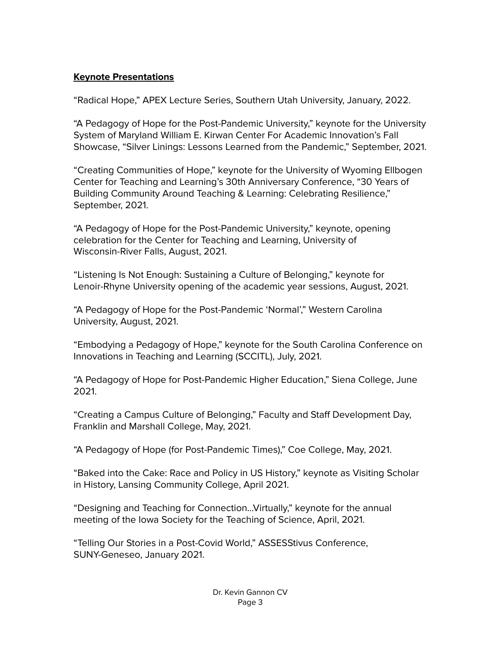# **Keynote Presentations**

"Radical Hope," APEX Lecture Series, Southern Utah University, January, 2022.

"A Pedagogy of Hope for the Post-Pandemic University," keynote for the University System of Maryland William E. Kirwan Center For Academic Innovation's Fall Showcase, "Silver Linings: Lessons Learned from the Pandemic," September, 2021.

"Creating Communities of Hope," keynote for the University of Wyoming Ellbogen Center for Teaching and Learning's 30th Anniversary Conference, "30 Years of Building Community Around Teaching & Learning: Celebrating Resilience," September, 2021.

"A Pedagogy of Hope for the Post-Pandemic University," keynote, opening celebration for the Center for Teaching and Learning, University of Wisconsin-River Falls, August, 2021.

"Listening Is Not Enough: Sustaining a Culture of Belonging," keynote for Lenoir-Rhyne University opening of the academic year sessions, August, 2021.

"A Pedagogy of Hope for the Post-Pandemic 'Normal'," Western Carolina University, August, 2021.

"Embodying a Pedagogy of Hope," keynote for the South Carolina Conference on Innovations in Teaching and Learning (SCCITL), July, 2021.

"A Pedagogy of Hope for Post-Pandemic Higher Education," Siena College, June 2021.

"Creating a Campus Culture of Belonging," Faculty and Staff Development Day, Franklin and Marshall College, May, 2021.

"A Pedagogy of Hope (for Post-Pandemic Times)," Coe College, May, 2021.

"Baked into the Cake: Race and Policy in US History," keynote as Visiting Scholar in History, Lansing Community College, April 2021.

"Designing and Teaching for Connection...Virtually," keynote for the annual meeting of the Iowa Society for the Teaching of Science, April, 2021.

"Telling Our Stories in a Post-Covid World," ASSESStivus Conference, SUNY-Geneseo, January 2021.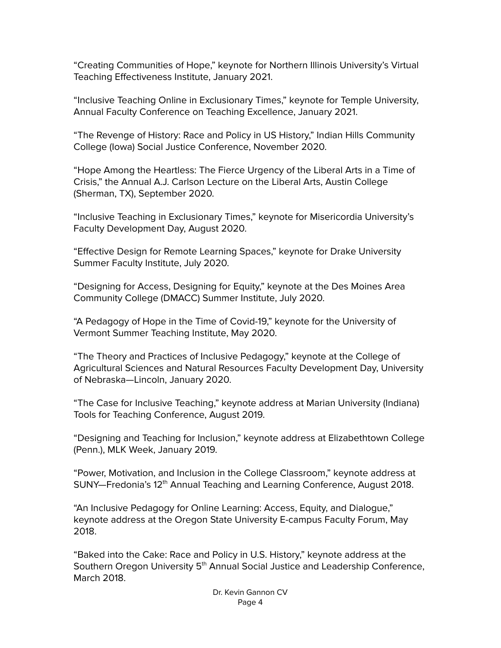"Creating Communities of Hope," keynote for Northern Illinois University's Virtual Teaching Effectiveness Institute, January 2021.

"Inclusive Teaching Online in Exclusionary Times," keynote for Temple University, Annual Faculty Conference on Teaching Excellence, January 2021.

"The Revenge of History: Race and Policy in US History," Indian Hills Community College (Iowa) Social Justice Conference, November 2020.

"Hope Among the Heartless: The Fierce Urgency of the Liberal Arts in a Time of Crisis," the Annual A.J. Carlson Lecture on the Liberal Arts, Austin College (Sherman, TX), September 2020.

"Inclusive Teaching in Exclusionary Times," keynote for Misericordia University's Faculty Development Day, August 2020.

"Effective Design for Remote Learning Spaces," keynote for Drake University Summer Faculty Institute, July 2020.

"Designing for Access, Designing for Equity," keynote at the Des Moines Area Community College (DMACC) Summer Institute, July 2020.

"A Pedagogy of Hope in the Time of Covid-19," keynote for the University of Vermont Summer Teaching Institute, May 2020.

"The Theory and Practices of Inclusive Pedagogy," keynote at the College of Agricultural Sciences and Natural Resources Faculty Development Day, University of Nebraska—Lincoln, January 2020.

"The Case for Inclusive Teaching," keynote address at Marian University (Indiana) Tools for Teaching Conference, August 2019.

"Designing and Teaching for Inclusion," keynote address at Elizabethtown College (Penn.), MLK Week, January 2019.

"Power, Motivation, and Inclusion in the College Classroom," keynote address at SUNY—Fredonia's 12<sup>th</sup> Annual Teaching and Learning Conference, August 2018.

"An Inclusive Pedagogy for Online Learning: Access, Equity, and Dialogue," keynote address at the Oregon State University E-campus Faculty Forum, May 2018.

"Baked into the Cake: Race and Policy in U.S. History," keynote address at the Southern Oregon University 5<sup>th</sup> Annual Social Justice and Leadership Conference, March 2018.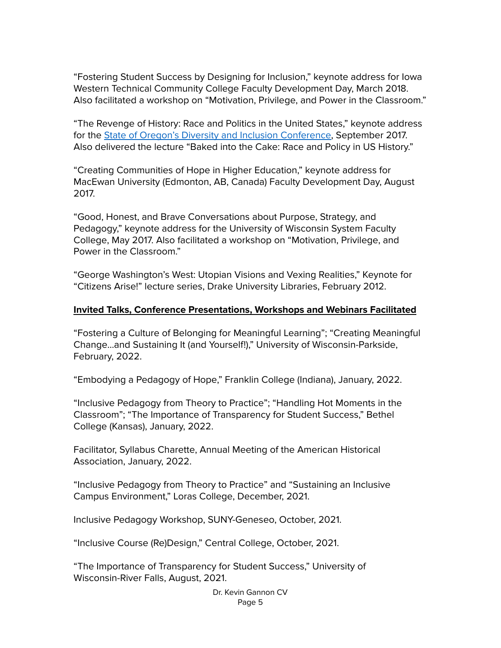"Fostering Student Success by Designing for Inclusion," keynote address for Iowa Western Technical Community College Faculty Development Day, March 2018. Also facilitated a workshop on "Motivation, Privilege, and Power in the Classroom."

"The Revenge of History: Race and Politics in the United States," keynote address for the State of Oregon's Diversity and Inclusion [Conference,](http://www.oregon.gov/ODOT/Pages/Diversity-Conference.aspx) September 2017. Also delivered the lecture "Baked into the Cake: Race and Policy in US History."

"Creating Communities of Hope in Higher Education," keynote address for MacEwan University (Edmonton, AB, Canada) Faculty Development Day, August 2017.

"Good, Honest, and Brave Conversations about Purpose, Strategy, and Pedagogy," keynote address for the University of Wisconsin System Faculty College, May 2017. Also facilitated a workshop on "Motivation, Privilege, and Power in the Classroom."

"George Washington's West: Utopian Visions and Vexing Realities," Keynote for "Citizens Arise!" lecture series, Drake University Libraries, February 2012.

## **Invited Talks, Conference Presentations, Workshops and Webinars Facilitated**

"Fostering a Culture of Belonging for Meaningful Learning"; "Creating Meaningful Change…and Sustaining It (and Yourself!)," University of Wisconsin-Parkside, February, 2022.

"Embodying a Pedagogy of Hope," Franklin College (Indiana), January, 2022.

"Inclusive Pedagogy from Theory to Practice"; "Handling Hot Moments in the Classroom"; "The Importance of Transparency for Student Success," Bethel College (Kansas), January, 2022.

Facilitator, Syllabus Charette, Annual Meeting of the American Historical Association, January, 2022.

"Inclusive Pedagogy from Theory to Practice" and "Sustaining an Inclusive Campus Environment," Loras College, December, 2021.

Inclusive Pedagogy Workshop, SUNY-Geneseo, October, 2021.

"Inclusive Course (Re)Design," Central College, October, 2021.

"The Importance of Transparency for Student Success," University of Wisconsin-River Falls, August, 2021.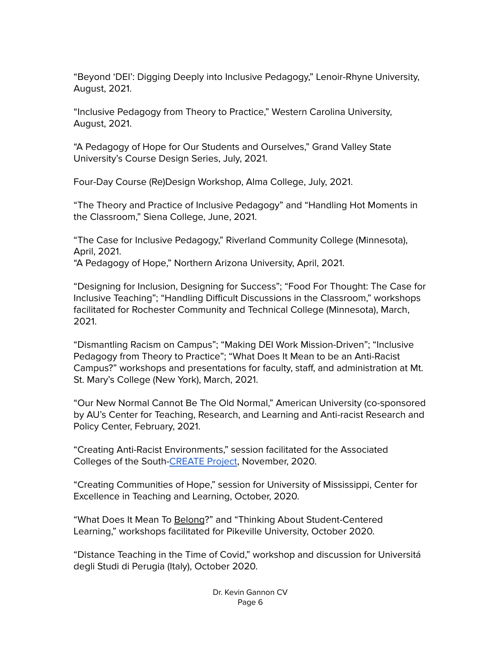"Beyond 'DEI': Digging Deeply into Inclusive Pedagogy," Lenoir-Rhyne University, August, 2021.

"Inclusive Pedagogy from Theory to Practice," Western Carolina University, August, 2021.

"A Pedagogy of Hope for Our Students and Ourselves," Grand Valley State University's Course Design Series, July, 2021.

Four-Day Course (Re)Design Workshop, Alma College, July, 2021.

"The Theory and Practice of Inclusive Pedagogy" and "Handling Hot Moments in the Classroom," Siena College, June, 2021.

"The Case for Inclusive Pedagogy," Riverland Community College (Minnesota), April, 2021.

"A Pedagogy of Hope," Northern Arizona University, April, 2021.

"Designing for Inclusion, Designing for Success"; "Food For Thought: The Case for Inclusive Teaching"; "Handling Difficult Discussions in the Classroom," workshops facilitated for Rochester Community and Technical College (Minnesota), March, 2021.

"Dismantling Racism on Campus"; "Making DEI Work Mission-Driven"; "Inclusive Pedagogy from Theory to Practice"; "What Does It Mean to be an Anti-Racist Campus?" workshops and presentations for faculty, staff, and administration at Mt. St. Mary's College (New York), March, 2021.

"Our New Normal Cannot Be The Old Normal," American University (co-sponsored by AU's Center for Teaching, Research, and Learning and Anti-racist Research and Policy Center, February, 2021.

"Creating Anti-Racist Environments," session facilitated for the Associated Colleges of the South[-CREATE](https://blogs.furman.edu/faculty-development-center/) Project, November, 2020.

"Creating Communities of Hope," session for University of Mississippi, Center for Excellence in Teaching and Learning, October, 2020.

"What Does It Mean To Belong?" and "Thinking About Student-Centered Learning," workshops facilitated for Pikeville University, October 2020.

"Distance Teaching in the Time of Covid," workshop and discussion for Universitá degli Studi di Perugia (Italy), October 2020.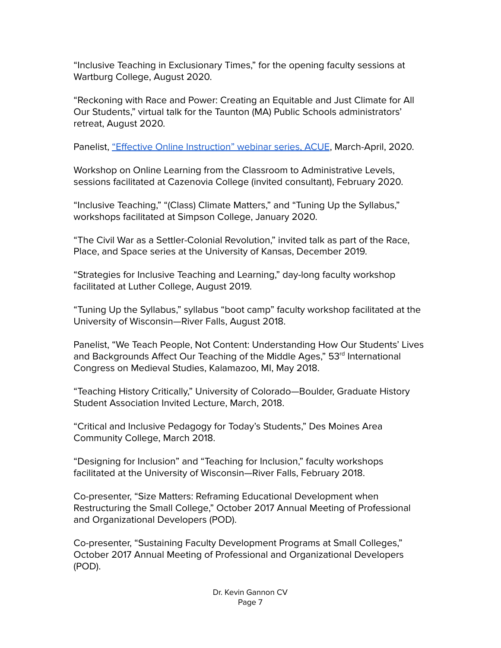"Inclusive Teaching in Exclusionary Times," for the opening faculty sessions at Wartburg College, August 2020.

"Reckoning with Race and Power: Creating an Equitable and Just Climate for All Our Students," virtual talk for the Taunton (MA) Public Schools administrators' retreat, August 2020.

Panelist, "Effective Online [Instruction"](https://acue.org/webinars/) webinar series, ACUE, March-April, 2020.

Workshop on Online Learning from the Classroom to Administrative Levels, sessions facilitated at Cazenovia College (invited consultant), February 2020.

"Inclusive Teaching," "(Class) Climate Matters," and "Tuning Up the Syllabus," workshops facilitated at Simpson College, January 2020.

"The Civil War as a Settler-Colonial Revolution," invited talk as part of the Race, Place, and Space series at the University of Kansas, December 2019.

"Strategies for Inclusive Teaching and Learning," day-long faculty workshop facilitated at Luther College, August 2019.

"Tuning Up the Syllabus," syllabus "boot camp" faculty workshop facilitated at the University of Wisconsin—River Falls, August 2018.

Panelist, "We Teach People, Not Content: Understanding How Our Students' Lives and Backgrounds Affect Our Teaching of the Middle Ages," 53<sup>rd</sup> International Congress on Medieval Studies, Kalamazoo, MI, May 2018.

"Teaching History Critically," University of Colorado—Boulder, Graduate History Student Association Invited Lecture, March, 2018.

"Critical and Inclusive Pedagogy for Today's Students," Des Moines Area Community College, March 2018.

"Designing for Inclusion" and "Teaching for Inclusion," faculty workshops facilitated at the University of Wisconsin—River Falls, February 2018.

Co-presenter, "Size Matters: Reframing Educational Development when Restructuring the Small College," October 2017 Annual Meeting of Professional and Organizational Developers (POD).

Co-presenter, "Sustaining Faculty Development Programs at Small Colleges," October 2017 Annual Meeting of Professional and Organizational Developers (POD).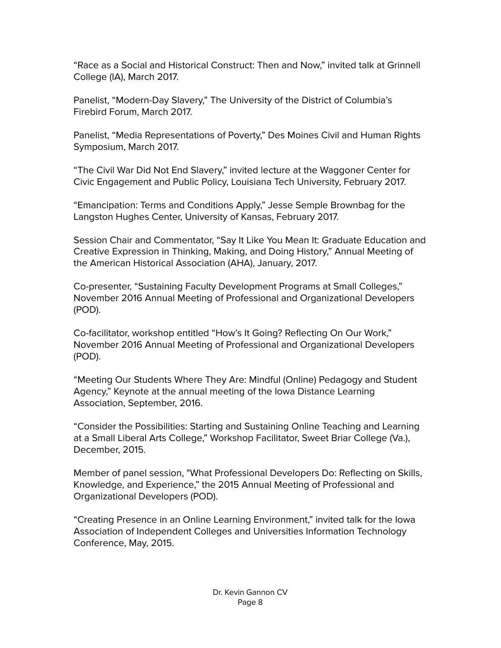"Race as a Social and Historical Construct: Then and Now," invited talk at Grinnell College (IA), March 2017.

Panelist, "Modern-Day Slavery," The University of the District of Columbia's Firebird Forum, March 2017.

Panelist, "Media Representations of Poverty," Des Moines Civil and Human Rights Symposium, March 2017.

"The Civil War Did Not End Slavery," invited lecture at the Waggoner Center for Civic Engagement and Public Policy, Louisiana Tech University, February 2017.

"Emancipation: Terms and Conditions Apply," Jesse Semple Brownbag for the Langston Hughes Center, University of Kansas, February 2017.

Session Chair and Commentator, "Say It Like You Mean It: Graduate Education and Creative Expression in Thinking, Making, and Doing History," Annual Meeting of the American Historical Association (AHA), January, 2017.

Co-presenter, "Sustaining Faculty Development Programs at Small Colleges," November 2016 Annual Meeting of Professional and Organizational Developers (POD).

Co-facilitator, workshop entitled "How's It Going? Reflecting On Our Work," November 2016 Annual Meeting of Professional and Organizational Developers (POD).

"Meeting Our Students Where They Are: Mindful (Online) Pedagogy and Student Agency," Keynote at the annual meeting of the Iowa Distance Learning Association, September, 2016.

"Consider the Possibilities: Starting and Sustaining Online Teaching and Learning at a Small Liberal Arts College," Workshop Facilitator, Sweet Briar College (Va.), December, 2015.

Member of panel session, "What Professional Developers Do: Reflecting on Skills, Knowledge, and Experience," the 2015 Annual Meeting of Professional and Organizational Developers (POD).

"Creating Presence in an Online Learning Environment," invited talk for the Iowa Association of Independent Colleges and Universities Information Technology Conference, May, 2015.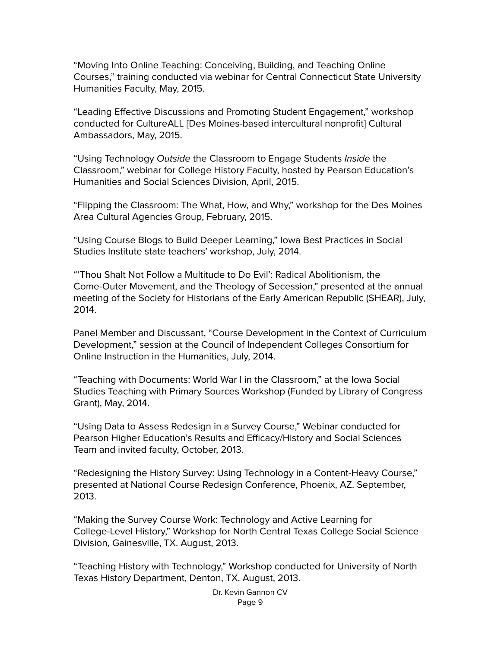"Moving Into Online Teaching: Conceiving, Building, and Teaching Online Courses," training conducted via webinar for Central Connecticut State University Humanities Faculty, May, 2015.

"Leading Effective Discussions and Promoting Student Engagement," workshop conducted for CultureALL [Des Moines-based intercultural nonprofit] Cultural Ambassadors, May, 2015.

"Using Technology Outside the Classroom to Engage Students Inside the Classroom," webinar for College History Faculty, hosted by Pearson Education's Humanities and Social Sciences Division, April, 2015.

"Flipping the Classroom: The What, How, and Why," workshop for the Des Moines Area Cultural Agencies Group, February, 2015.

"Using Course Blogs to Build Deeper Learning," Iowa Best Practices in Social Studies Institute state teachers' workshop, July, 2014.

"'Thou Shalt Not Follow a Multitude to Do Evil': Radical Abolitionism, the Come-Outer Movement, and the Theology of Secession," presented at the annual meeting of the Society for Historians of the Early American Republic (SHEAR), July, 2014.

Panel Member and Discussant, "Course Development in the Context of Curriculum Development," session at the Council of Independent Colleges Consortium for Online Instruction in the Humanities, July, 2014.

"Teaching with Documents: World War I in the Classroom," at the Iowa Social Studies Teaching with Primary Sources Workshop (Funded by Library of Congress Grant), May, 2014.

"Using Data to Assess Redesign in a Survey Course," Webinar conducted for Pearson Higher Education's Results and Efficacy/History and Social Sciences Team and invited faculty, October, 2013.

"Redesigning the History Survey: Using Technology in a Content-Heavy Course," presented at National Course Redesign Conference, Phoenix, AZ. September, 2013.

"Making the Survey Course Work: Technology and Active Learning for College-Level History," Workshop for North Central Texas College Social Science Division, Gainesville, TX. August, 2013.

"Teaching History with Technology," Workshop conducted for University of North Texas History Department, Denton, TX. August, 2013.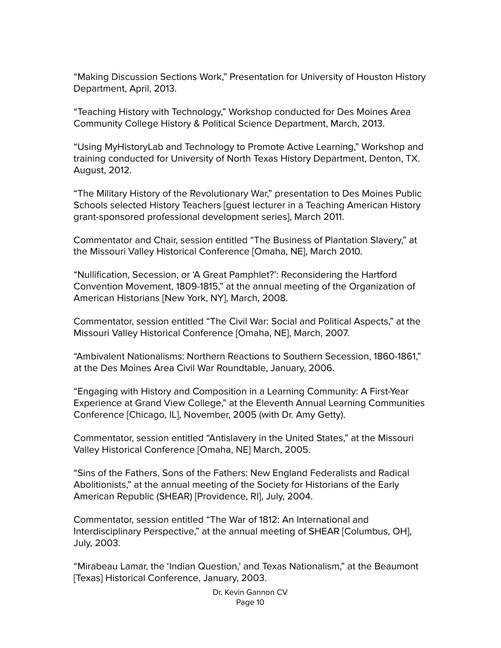"Making Discussion Sections Work," Presentation for University of Houston History Department, April, 2013.

"Teaching History with Technology," Workshop conducted for Des Moines Area Community College History & Political Science Department, March, 2013.

"Using MyHistoryLab and Technology to Promote Active Learning," Workshop and training conducted for University of North Texas History Department, Denton, TX. August, 2012.

"The Military History of the Revolutionary War," presentation to Des Moines Public Schools selected History Teachers [guest lecturer in a Teaching American History grant-sponsored professional development series], March 2011.

Commentator and Chair, session entitled "The Business of Plantation Slavery," at the Missouri Valley Historical Conference [Omaha, NE], March 2010.

"Nullification, Secession, or 'A Great Pamphlet?': Reconsidering the Hartford Convention Movement, 1809-1815," at the annual meeting of the Organization of American Historians [New York, NY], March, 2008.

Commentator, session entitled "The Civil War: Social and Political Aspects," at the Missouri Valley Historical Conference [Omaha, NE], March, 2007.

"Ambivalent Nationalisms: Northern Reactions to Southern Secession, 1860-1861," at the Des Moines Area Civil War Roundtable, January, 2006.

"Engaging with History and Composition in a Learning Community: A First-Year Experience at Grand View College," at the Eleventh Annual Learning Communities Conference [Chicago, IL], November, 2005 (with Dr. Amy Getty).

Commentator, session entitled "Antislavery in the United States," at the Missouri Valley Historical Conference [Omaha, NE] March, 2005.

"Sins of the Fathers, Sons of the Fathers: New England Federalists and Radical Abolitionists," at the annual meeting of the Society for Historians of the Early American Republic (SHEAR) [Providence, RI], July, 2004.

Commentator, session entitled "The War of 1812: An International and Interdisciplinary Perspective," at the annual meeting of SHEAR [Columbus, OH], July, 2003.

"Mirabeau Lamar, the 'Indian Question,' and Texas Nationalism," at the Beaumont [Texas] Historical Conference, January, 2003.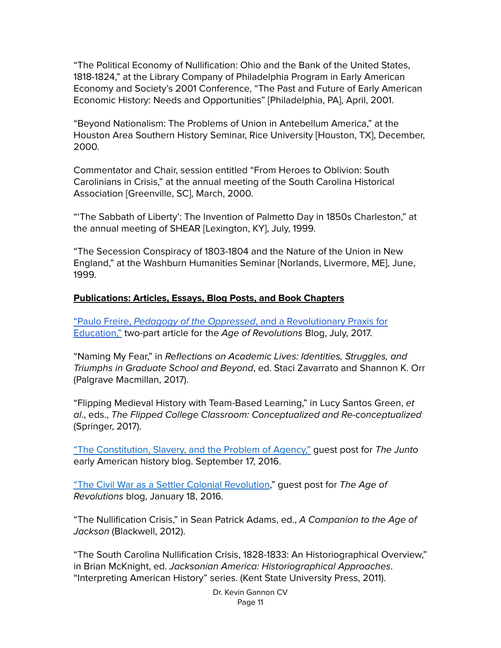"The Political Economy of Nullification: Ohio and the Bank of the United States, 1818-1824," at the Library Company of Philadelphia Program in Early American Economy and Society's 2001 Conference, "The Past and Future of Early American Economic History: Needs and Opportunities" [Philadelphia, PA], April, 2001.

"Beyond Nationalism: The Problems of Union in Antebellum America," at the Houston Area Southern History Seminar, Rice University [Houston, TX], December, 2000.

Commentator and Chair, session entitled "From Heroes to Oblivion: South Carolinians in Crisis," at the annual meeting of the South Carolina Historical Association [Greenville, SC], March, 2000.

"'The Sabbath of Liberty': The Invention of Palmetto Day in 1850s Charleston," at the annual meeting of SHEAR [Lexington, KY], July, 1999.

"The Secession Conspiracy of 1803-1804 and the Nature of the Union in New England," at the Washburn Humanities Seminar [Norlands, Livermore, ME], June, 1999.

## **Publications: Articles, Essays, Blog Posts, and Book Chapters**

"Paulo Freire, Pedagogy of the Oppressed, and a [Revolutionary](https://ageofrevolutions.com/2017/07/17/paulo-freire-pedagogy-of-the-oppressed-and-a-revolutionary-praxis-for-education-part-i/) Praxis for [Education,"](https://ageofrevolutions.com/2017/07/17/paulo-freire-pedagogy-of-the-oppressed-and-a-revolutionary-praxis-for-education-part-i/) two-part article for the Age of Revolutions Blog, July, 2017.

"Naming My Fear," in Reflections on Academic Lives: Identities, Struggles, and Triumphs in Graduate School and Beyond, ed. Staci Zavarrato and Shannon K. Orr (Palgrave Macmillan, 2017).

"Flipping Medieval History with Team-Based Learning," in Lucy Santos Green, et al., eds., The Flipped College Classroom: Conceptualized and Re-conceptualized (Springer, 2017).

"The [Constitution,](https://earlyamericanists.com/2015/09/17/constitution-slavery-and-the-problem-of-agency/) Slavery, and the Problem of Agency," guest post for The Junto early American history blog. September 17, 2016.

"The Civil War as a Settler Colonial [Revolution,](https://ageofrevolutions.com/2016/01/18/the-civil-war-as-a-settler-colonial-revolution/)" guest post for The Age of Revolutions blog, January 18, 2016.

"The Nullification Crisis," in Sean Patrick Adams, ed., A Companion to the Age of Jackson (Blackwell, 2012).

"The South Carolina Nullification Crisis, 1828-1833: An Historiographical Overview," in Brian McKnight, ed. Jacksonian America: Historiographical Approaches. "Interpreting American History" series. (Kent State University Press, 2011).

> Dr. Kevin Gannon CV Page 11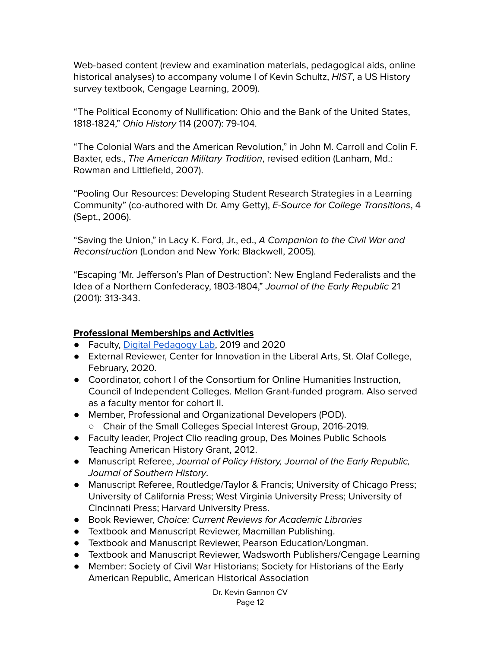Web-based content (review and examination materials, pedagogical aids, online historical analyses) to accompany volume I of Kevin Schultz, HIST, a US History survey textbook, Cengage Learning, 2009).

"The Political Economy of Nullification: Ohio and the Bank of the United States, 1818-1824," Ohio History 114 (2007): 79-104.

"The Colonial Wars and the American Revolution," in John M. Carroll and Colin F. Baxter, eds., The American Military Tradition, revised edition (Lanham, Md.: Rowman and Littlefield, 2007).

"Pooling Our Resources: Developing Student Research Strategies in a Learning Community" (co-authored with Dr. Amy Getty), E-Source for College Transitions, 4 (Sept., 2006).

"Saving the Union," in Lacy K. Ford, Jr., ed., A Companion to the Civil War and Reconstruction (London and New York: Blackwell, 2005).

"Escaping 'Mr. Jefferson's Plan of Destruction': New England Federalists and the Idea of a Northern Confederacy, 1803-1804," Journal of the Early Republic 21 (2001): 313-343.

# **Professional Memberships and Activities**

- Faculty, Digital [Pedagogy](https://www.digitalpedagogylab.com/) Lab, 2019 and 2020
- External Reviewer, Center for Innovation in the Liberal Arts, St. Olaf College, February, 2020.
- Coordinator, cohort I of the Consortium for Online Humanities Instruction, Council of Independent Colleges. Mellon Grant-funded program. Also served as a faculty mentor for cohort II.
- Member, Professional and Organizational Developers (POD). ○ Chair of the Small Colleges Special Interest Group, 2016-2019.
- Faculty leader, Project Clio reading group, Des Moines Public Schools Teaching American History Grant, 2012.
- Manuscript Referee, Journal of Policy History, Journal of the Early Republic, Journal of Southern History.
- Manuscript Referee, Routledge/Taylor & Francis; University of Chicago Press; University of California Press; West Virginia University Press; University of Cincinnati Press; Harvard University Press.
- Book Reviewer, Choice: Current Reviews for Academic Libraries
- Textbook and Manuscript Reviewer, Macmillan Publishing.
- Textbook and Manuscript Reviewer, Pearson Education/Longman.
- Textbook and Manuscript Reviewer, Wadsworth Publishers/Cengage Learning
- Member: Society of Civil War Historians; Society for Historians of the Early American Republic, American Historical Association